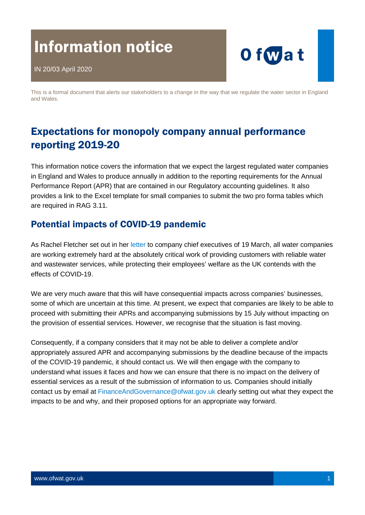# Information notice



This is a formal document that alerts our stakeholders to a change in the way that we regulate the water sector in England and Wales.

# Expectations for monopoly company annual performance reporting 2019-20

This information notice covers the information that we expect the largest regulated water companies in England and Wales to produce annually in addition to the reporting requirements for the Annual Performance Report (APR) that are contained in our Regulatory accounting guidelines. It also provides a link to the Excel template for small companies to submit the two pro forma tables which are required in RAG 3.11.

## Potential impacts of COVID-19 pandemic

As Rachel Fletcher set out in her [letter](https://www.ofwat.gov.uk/wp-content/uploads/2020/03/Letter-to-all-CEOs-from-Rachel-Fletcher-on-COVID19-water-industry-response.pdf) to company chief executives of 19 March, all water companies are working extremely hard at the absolutely critical work of providing customers with reliable water and wastewater services, while protecting their employees' welfare as the UK contends with the effects of COVID-19.

We are very much aware that this will have consequential impacts across companies' businesses, some of which are uncertain at this time. At present, we expect that companies are likely to be able to proceed with submitting their APRs and accompanying submissions by 15 July without impacting on the provision of essential services. However, we recognise that the situation is fast moving.

Consequently, if a company considers that it may not be able to deliver a complete and/or appropriately assured APR and accompanying submissions by the deadline because of the impacts of the COVID-19 pandemic, it should contact us. We will then engage with the company to understand what issues it faces and how we can ensure that there is no impact on the delivery of essential services as a result of the submission of information to us. Companies should initially contact us by email at [FinanceAndGovernance@ofwat.gov.uk](mailto:FinanceAndGovernance@ofwat.gov.uk) clearly setting out what they expect the impacts to be and why, and their proposed options for an appropriate way forward.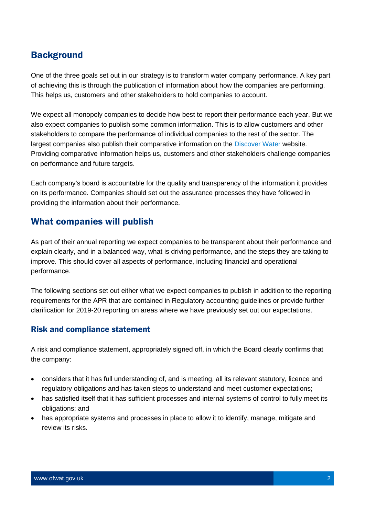## **Background**

One of the three goals set out in our strategy is to transform water company performance. A key part of achieving this is through the publication of information about how the companies are performing. This helps us, customers and other stakeholders to hold companies to account.

We expect all monopoly companies to decide how best to report their performance each year. But we also expect companies to publish some common information. This is to allow customers and other stakeholders to compare the performance of individual companies to the rest of the sector. The largest companies also publish their comparative information on the [Discover Water](https://discoverwater.co.uk/) website. Providing comparative information helps us, customers and other stakeholders challenge companies on performance and future targets.

Each company's board is accountable for the quality and transparency of the information it provides on its performance. Companies should set out the assurance processes they have followed in providing the information about their performance.

### What companies will publish

As part of their annual reporting we expect companies to be transparent about their performance and explain clearly, and in a balanced way, what is driving performance, and the steps they are taking to improve. This should cover all aspects of performance, including financial and operational performance.

The following sections set out either what we expect companies to publish in addition to the reporting requirements for the APR that are contained in Regulatory accounting guidelines or provide further clarification for 2019-20 reporting on areas where we have previously set out our expectations.

#### Risk and compliance statement

A risk and compliance statement, appropriately signed off, in which the Board clearly confirms that the company:

- considers that it has full understanding of, and is meeting, all its relevant statutory, licence and regulatory obligations and has taken steps to understand and meet customer expectations;
- has satisfied itself that it has sufficient processes and internal systems of control to fully meet its obligations; and
- has appropriate systems and processes in place to allow it to identify, manage, mitigate and review its risks.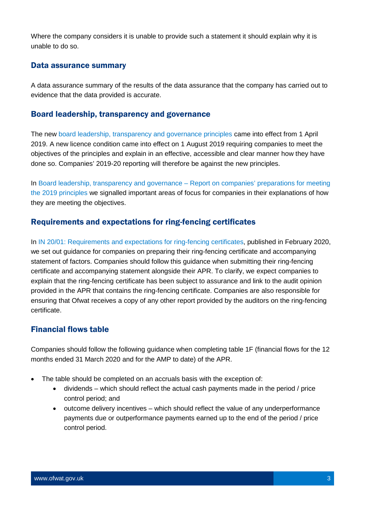Where the company considers it is unable to provide such a statement it should explain why it is unable to do so.

#### Data assurance summary

A data assurance summary of the results of the data assurance that the company has carried out to evidence that the data provided is accurate.

#### Board leadership, transparency and governance

The new [board leadership, transparency and governance principles](https://www.ofwat.gov.uk/publication/board-leadership-transparency-and-governance-principles/) came into effect from 1 April 2019. A new licence condition came into effect on 1 August 2019 requiring companies to meet the objectives of the principles and explain in an effective, accessible and clear manner how they have done so. Companies' 2019-20 reporting will therefore be against the new principles.

In [Board leadership, transparency and governance –](https://www.ofwat.gov.uk/publication/board-leadership-transparency-and-governance-report-on-companies-preparations-for-meeting-the-2019-principles/) Report on companies' preparations for meeting [the 2019 principles](https://www.ofwat.gov.uk/publication/board-leadership-transparency-and-governance-report-on-companies-preparations-for-meeting-the-2019-principles/) we signalled important areas of focus for companies in their explanations of how they are meeting the objectives.

#### Requirements and expectations for ring-fencing certificates

In [IN 20/01: Requirements and expectations for ring-fencing certificates,](https://www.ofwat.gov.uk/publication/in-20-01-requirements-and-expectations-for-ring-fencing-certificates/) published in February 2020, we set out guidance for companies on preparing their ring-fencing certificate and accompanying statement of factors. Companies should follow this guidance when submitting their ring-fencing certificate and accompanying statement alongside their APR. To clarify, we expect companies to explain that the ring-fencing certificate has been subject to assurance and link to the audit opinion provided in the APR that contains the ring-fencing certificate. Companies are also responsible for ensuring that Ofwat receives a copy of any other report provided by the auditors on the ring-fencing certificate.

#### Financial flows table

Companies should follow the following guidance when completing table 1F (financial flows for the 12 months ended 31 March 2020 and for the AMP to date) of the APR.

- The table should be completed on an accruals basis with the exception of:
	- dividends which should reflect the actual cash payments made in the period / price control period; and
	- outcome delivery incentives which should reflect the value of any underperformance payments due or outperformance payments earned up to the end of the period / price control period.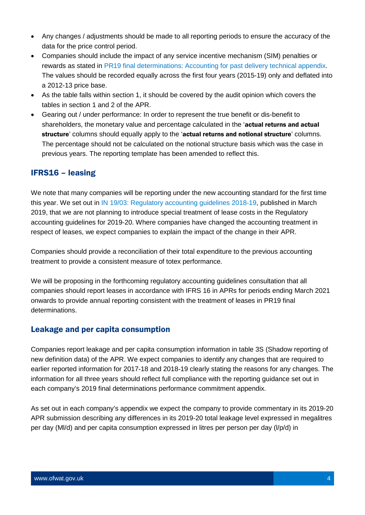- Any changes / adjustments should be made to all reporting periods to ensure the accuracy of the data for the price control period.
- Companies should include the impact of any service incentive mechanism (SIM) penalties or rewards as stated in [PR19 final determinations: Accounting for past delivery technical appendix.](https://www.ofwat.gov.uk/publication/pr19-final-determinations-accounting-for-past-delivery-technical-appendix/) The values should be recorded equally across the first four years (2015-19) only and deflated into a 2012-13 price base.
- As the table falls within section 1, it should be covered by the audit opinion which covers the tables in section 1 and 2 of the APR.
- Gearing out / under performance: In order to represent the true benefit or dis-benefit to shareholders, the monetary value and percentage calculated in the 'actual returns and actual structure' columns should equally apply to the 'actual returns and notional structure' columns. The percentage should not be calculated on the notional structure basis which was the case in previous years. The reporting template has been amended to reflect this.

#### IFRS16 – leasing

We note that many companies will be reporting under the new accounting standard for the first time this year. We set out in [IN 19/03: Regulatory accounting guidelines 2018-19,](https://www.ofwat.gov.uk/publication/in-19-03-regulatory-accounting-guidelines-2018-19/) published in March 2019, that we are not planning to introduce special treatment of lease costs in the Regulatory accounting guidelines for 2019-20. Where companies have changed the accounting treatment in respect of leases, we expect companies to explain the impact of the change in their APR.

Companies should provide a reconciliation of their total expenditure to the previous accounting treatment to provide a consistent measure of totex performance.

We will be proposing in the forthcoming regulatory accounting guidelines consultation that all companies should report leases in accordance with IFRS 16 in APRs for periods ending March 2021 onwards to provide annual reporting consistent with the treatment of leases in PR19 final determinations.

#### Leakage and per capita consumption

Companies report leakage and per capita consumption information in table 3S (Shadow reporting of new definition data) of the APR. We expect companies to identify any changes that are required to earlier reported information for 2017-18 and 2018-19 clearly stating the reasons for any changes. The information for all three years should reflect full compliance with the reporting guidance set out in each company's 2019 final determinations performance commitment appendix.

As set out in each company's appendix we expect the company to provide commentary in its 2019-20 APR submission describing any differences in its 2019-20 total leakage level expressed in megalitres per day (Ml/d) and per capita consumption expressed in litres per person per day (l/p/d) in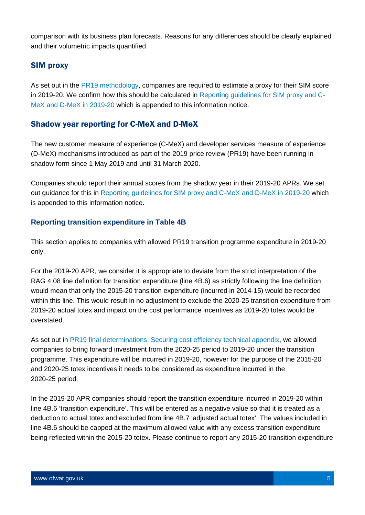comparison with its business plan forecasts. Reasons for any differences should be clearly explained and their volumetric impacts quantified.

#### SIM proxy

As set out in the [PR19 methodology,](https://www.ofwat.gov.uk/regulated-companies/price-review/2019-price-review/pr19-final-methodology/) companies are required to estimate a proxy for their SIM score in 2019-20. We confirm how this should be calculated in [Reporting guidelines for SIM proxy and C-](https://www.ofwat.gov.uk/publication/reporting-guidelines-for-sim-proxy-and-c-mex-and-d-mex-in-2019-20/)[MeX and D-MeX in 2019-20](https://www.ofwat.gov.uk/publication/reporting-guidelines-for-sim-proxy-and-c-mex-and-d-mex-in-2019-20/) which is appended to this information notice.

#### Shadow year reporting for C-MeX and D-MeX

The new customer measure of experience (C-MeX) and developer services measure of experience (D-MeX) mechanisms introduced as part of the 2019 price review (PR19) have been running in shadow form since 1 May 2019 and until 31 March 2020.

Companies should report their annual scores from the shadow year in their 2019-20 APRs. We set out guidance for this in [Reporting guidelines for SIM proxy and C-MeX and D-MeX in 2019-20](https://www.ofwat.gov.uk/publication/reporting-guidelines-for-sim-proxy-and-c-mex-and-d-mex-in-2019-20/) which is appended to this information notice.

#### **Reporting transition expenditure in Table 4B**

This section applies to companies with allowed PR19 transition programme expenditure in 2019-20 only.

For the 2019-20 APR, we consider it is appropriate to deviate from the strict interpretation of the RAG 4.08 line definition for transition expenditure (line 4B.6) as strictly following the line definition would mean that only the 2015-20 transition expenditure (incurred in 2014-15) would be recorded within this line. This would result in no adjustment to exclude the 2020-25 transition expenditure from 2019-20 actual totex and impact on the cost performance incentives as 2019-20 totex would be overstated.

As set out in [PR19 final determinations: Securing cost efficiency technical appendix,](https://www.ofwat.gov.uk/publication/pr19-final-determinations-securing-cost-efficiency-technical-appendix/) we allowed companies to bring forward investment from the 2020-25 period to 2019-20 under the transition programme. This expenditure will be incurred in 2019-20, however for the purpose of the 2015-20 and 2020-25 totex incentives it needs to be considered as expenditure incurred in the 2020-25 period.

In the 2019-20 APR companies should report the transition expenditure incurred in 2019-20 within line 4B.6 'transition expenditure'. This will be entered as a negative value so that it is treated as a deduction to actual totex and excluded from line 4B.7 'adjusted actual totex'. The values included in line 4B.6 should be capped at the maximum allowed value with any excess transition expenditure being reflected within the 2015-20 totex. Please continue to report any 2015-20 transition expenditure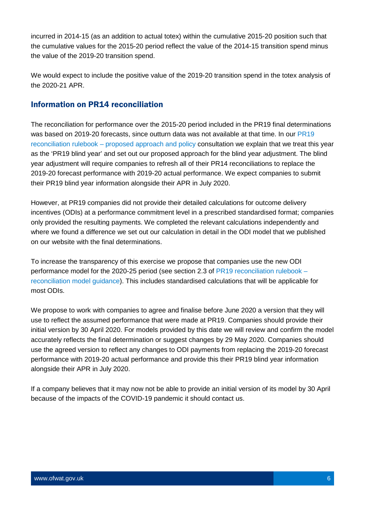incurred in 2014-15 (as an addition to actual totex) within the cumulative 2015-20 position such that the cumulative values for the 2015-20 period reflect the value of the 2014-15 transition spend minus the value of the 2019-20 transition spend.

We would expect to include the positive value of the 2019-20 transition spend in the totex analysis of the 2020-21 APR.

#### Information on PR14 reconciliation

The reconciliation for performance over the 2015-20 period included in the PR19 final determinations was based on 2019-20 forecasts, since outturn data was not available at that time. In our PR19 reconciliation rulebook – [proposed approach and policy](https://www.ofwat.gov.uk/publication/pr19-reconciliation-rulebook-consultation-proposed-approach-and-policy/) consultation we explain that we treat this year as the 'PR19 blind year' and set out our proposed approach for the blind year adjustment. The blind year adjustment will require companies to refresh all of their PR14 reconciliations to replace the 2019-20 forecast performance with 2019-20 actual performance. We expect companies to submit their PR19 blind year information alongside their APR in July 2020.

However, at PR19 companies did not provide their detailed calculations for outcome delivery incentives (ODIs) at a performance commitment level in a prescribed standardised format; companies only provided the resulting payments. We completed the relevant calculations independently and where we found a difference we set out our calculation in detail in the ODI model that we published on our website with the final determinations.

To increase the transparency of this exercise we propose that companies use the new ODI performance model for the 2020-25 period (see section 2.3 of [PR19 reconciliation rulebook –](https://www.ofwat.gov.uk/publication/pr19-reconciliation-rulebook-consultation-reconciliation-model-guidance/) [reconciliation model guidance\)](https://www.ofwat.gov.uk/publication/pr19-reconciliation-rulebook-consultation-reconciliation-model-guidance/). This includes standardised calculations that will be applicable for most ODIs.

We propose to work with companies to agree and finalise before June 2020 a version that they will use to reflect the assumed performance that were made at PR19. Companies should provide their initial version by 30 April 2020. For models provided by this date we will review and confirm the model accurately reflects the final determination or suggest changes by 29 May 2020. Companies should use the agreed version to reflect any changes to ODI payments from replacing the 2019-20 forecast performance with 2019-20 actual performance and provide this their PR19 blind year information alongside their APR in July 2020.

If a company believes that it may now not be able to provide an initial version of its model by 30 April because of the impacts of the COVID-19 pandemic it should contact us.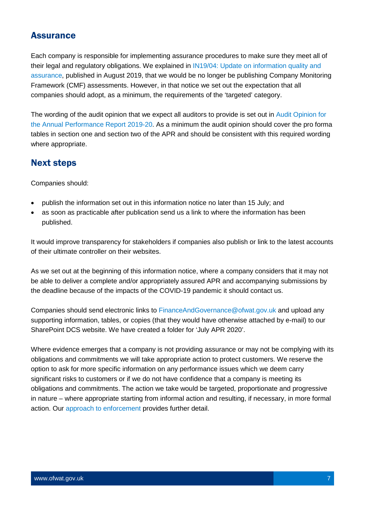## **Assurance**

Each company is responsible for implementing assurance procedures to make sure they meet all of their legal and regulatory obligations. We explained in [IN19/04: Update on information quality and](https://www.ofwat.gov.uk/publication/notice-update-on-information-quality-and-assurance/)  [assurance,](https://www.ofwat.gov.uk/publication/notice-update-on-information-quality-and-assurance/) published in August 2019, that we would be no longer be publishing Company Monitoring Framework (CMF) assessments. However, in that notice we set out the expectation that all companies should adopt, as a minimum, the requirements of the 'targeted' category.

The wording of the audit opinion that we expect all auditors to provide is set out in [Audit Opinion for](https://www.ofwat.gov.uk/publication/audit-opinion-for-the-annual-performance-report-2019-20/)  [the Annual Performance Report 2019-20.](https://www.ofwat.gov.uk/publication/audit-opinion-for-the-annual-performance-report-2019-20/) As a minimum the audit opinion should cover the pro forma tables in section one and section two of the APR and should be consistent with this required wording where appropriate.

## Next steps

Companies should:

- publish the information set out in this information notice no later than 15 July; and
- as soon as practicable after publication send us a link to where the information has been published.

It would improve transparency for stakeholders if companies also publish or link to the latest accounts of their ultimate controller on their websites.

As we set out at the beginning of this information notice, where a company considers that it may not be able to deliver a complete and/or appropriately assured APR and accompanying submissions by the deadline because of the impacts of the COVID-19 pandemic it should contact us.

Companies should send electronic links to [FinanceAndGovernance@ofwat.gov.uk](mailto:FinanceAndGovernance@ofwat.gov.uk) and upload any supporting information, tables, or copies (that they would have otherwise attached by e-mail) to our SharePoint DCS website. We have created a folder for 'July APR 2020'.

Where evidence emerges that a company is not providing assurance or may not be complying with its obligations and commitments we will take appropriate action to protect customers. We reserve the option to ask for more specific information on any performance issues which we deem carry significant risks to customers or if we do not have confidence that a company is meeting its obligations and commitments. The action we take would be targeted, proportionate and progressive in nature – where appropriate starting from informal action and resulting, if necessary, in more formal action. Our [approach to enforcement](https://www.ofwat.gov.uk/publication/ofwats-approach-to-enforcement/) provides further detail.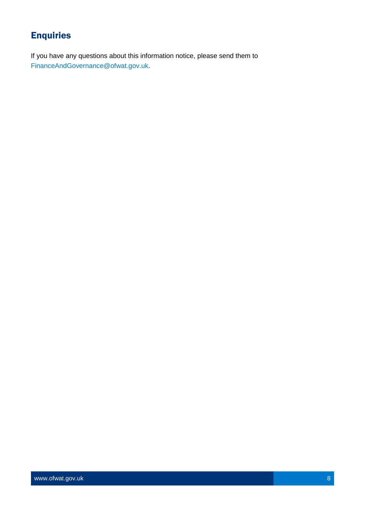# **Enquiries**

If you have any questions about this information notice, please send them to [FinanceAndGovernance@ofwat.gov.uk.](mailto:FinanceAndGovernance@ofwat.gov.uk)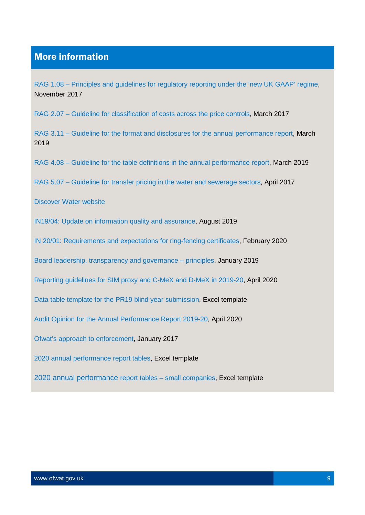## More information

RAG 1.08 – Principles and quidelines for regulatory reporting under the 'new UK GAAP' regime, November 2017

RAG 2.07 – [Guideline for classification of costs across the price controls,](https://www.ofwat.gov.uk/publication/rag-2-07-guideline-classification-costs-across-price-controls/) March 2017

RAG 3.11 – [Guideline for the format and disclosures for the annual performance report,](https://www.ofwat.gov.uk/wp-content/uploads/2019/01/RAG-3.11-post-condoc-v1.pdf) March 2019

RAG 4.08 – [Guideline for the table definitions in the annual performance report,](https://www.ofwat.gov.uk/wp-content/uploads/2019/01/RAG-4.08-post-condoc-v1.pdf) March 2019

RAG 5.07 – [Guideline for transfer pricing in the water and sewerage sectors,](http://www.ofwat.gov.uk/publication/rag-5-07-guideline-transfer-pricing-water-sewerage-sectors/) April 2017

[Discover Water website](https://discoverwater.co.uk/)

[IN19/04: Update on information quality and assurance,](https://www.ofwat.gov.uk/publication/notice-update-on-information-quality-and-assurance/) August 2019

[IN 20/01: Requirements and expectations for ring-fencing certificates,](https://www.ofwat.gov.uk/publication/in-20-01-requirements-and-expectations-for-ring-fencing-certificates/) February 2020

[Board leadership, transparency and governance –](https://www.ofwat.gov.uk/publication/board-leadership-transparency-and-governance-principles/) principles, January 2019

[Reporting guidelines for SIM proxy and C-MeX and D-MeX in 2019-20,](https://www.ofwat.gov.uk/publication/reporting-guidelines-for-sim-proxy-and-c-mex-and-d-mex-in-2019-20/) April 2020

[Data table template for the PR19 blind year submission,](https://www.ofwat.gov.uk/publication/data-table-template-for-the-pr19-blind-year-submission/) Excel template

[Audit Opinion for the Annual Performance Report 2019-20,](https://www.ofwat.gov.uk/publication/audit-opinion-for-the-annual-performance-report-2019-20/) April 2020

[Ofwat's approach to enforcement,](https://www.ofwat.gov.uk/publication/ofwats-approach-to-enforcement/) January 2017

[2020 annual performance report tables,](https://www.ofwat.gov.uk/publication/apr-2019-20-tables/) Excel template

2020 [annual performance report tables –](https://www.ofwat.gov.uk/publication/apr-2019-20-small-company-template/) small companies, Excel template